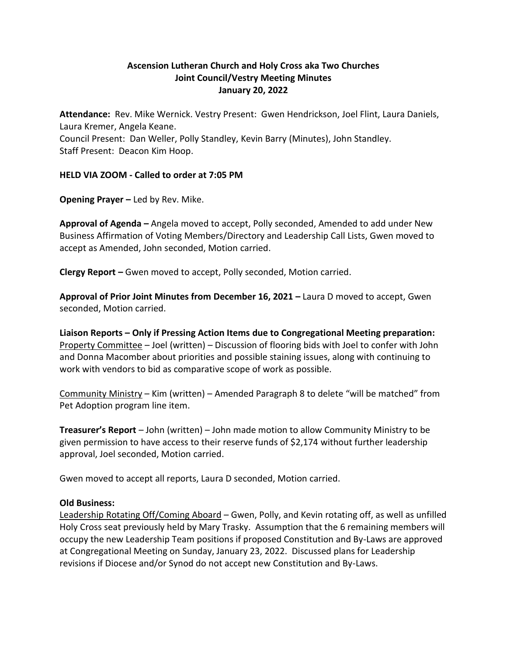## **Ascension Lutheran Church and Holy Cross aka Two Churches Joint Council/Vestry Meeting Minutes January 20, 2022**

**Attendance:** Rev. Mike Wernick. Vestry Present: Gwen Hendrickson, Joel Flint, Laura Daniels, Laura Kremer, Angela Keane. Council Present: Dan Weller, Polly Standley, Kevin Barry (Minutes), John Standley. Staff Present: Deacon Kim Hoop.

**HELD VIA ZOOM - Called to order at 7:05 PM**

**Opening Prayer –** Led by Rev. Mike.

**Approval of Agenda –** Angela moved to accept, Polly seconded, Amended to add under New Business Affirmation of Voting Members/Directory and Leadership Call Lists, Gwen moved to accept as Amended, John seconded, Motion carried.

**Clergy Report –** Gwen moved to accept, Polly seconded, Motion carried.

Approval of Prior Joint Minutes from December 16, 2021 – Laura D moved to accept, Gwen seconded, Motion carried.

**Liaison Reports – Only if Pressing Action Items due to Congregational Meeting preparation:** Property Committee – Joel (written) – Discussion of flooring bids with Joel to confer with John and Donna Macomber about priorities and possible staining issues, along with continuing to work with vendors to bid as comparative scope of work as possible.

Community Ministry – Kim (written) – Amended Paragraph 8 to delete "will be matched" from Pet Adoption program line item.

**Treasurer's Report** – John (written) – John made motion to allow Community Ministry to be given permission to have access to their reserve funds of \$2,174 without further leadership approval, Joel seconded, Motion carried.

Gwen moved to accept all reports, Laura D seconded, Motion carried.

## **Old Business:**

Leadership Rotating Off/Coming Aboard – Gwen, Polly, and Kevin rotating off, as well as unfilled Holy Cross seat previously held by Mary Trasky. Assumption that the 6 remaining members will occupy the new Leadership Team positions if proposed Constitution and By-Laws are approved at Congregational Meeting on Sunday, January 23, 2022. Discussed plans for Leadership revisions if Diocese and/or Synod do not accept new Constitution and By-Laws.